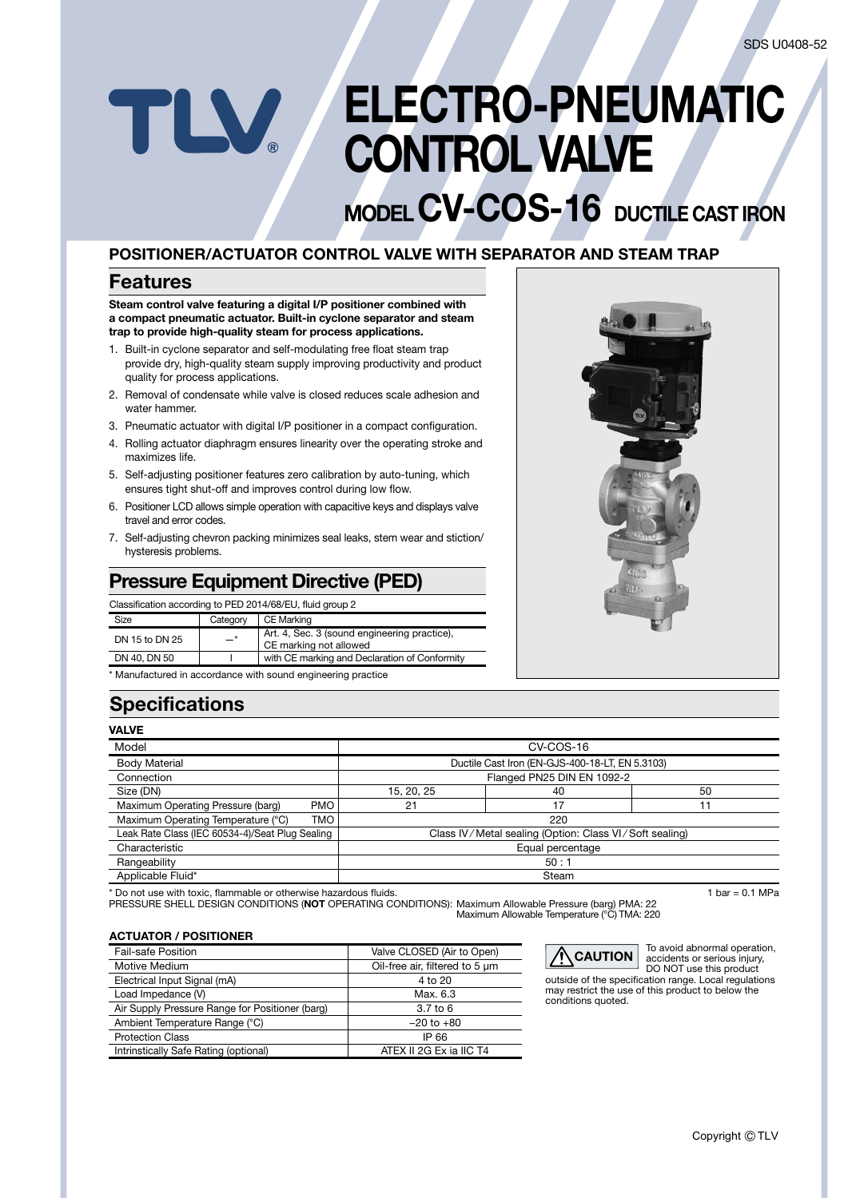# ELECTRO-PNEUMATIC TLV CONTROL VALVE

# MODEL CV-COS-16 DUCTILE CAST IRON

### POSITIONER/ACTUATOR CONTROL VALVE WITH SEPARATOR AND STEAM TRAP

### Features

Steam control valve featuring a digital I/P positioner combined with a compact pneumatic actuator. Built-in cyclone separator and steam trap to provide high-quality steam for process applications.

- 1. Built-in cyclone separator and self-modulating free float steam trap provide dry, high-quality steam supply improving productivity and product quality for process applications.
- 2. Removal of condensate while valve is closed reduces scale adhesion and water hammer.
- 3. Pneumatic actuator with digital I/P positioner in a compact configuration.
- 4. Rolling actuator diaphragm ensures linearity over the operating stroke and maximizes life.
- 5. Self-adjusting positioner features zero calibration by auto-tuning, which ensures tight shut-off and improves control during low flow.
- 6. Positioner LCD allows simple operation with capacitive keys and displays valve travel and error codes.
- 7. Self-adjusting chevron packing minimizes seal leaks, stem wear and stiction/ hysteresis problems.

## Pressure Equipment Directive (PED)

Classification according to PED 2014/68/EU, fluid group 2

| <b>Size</b>                                                  | Category | CE Marking                                                             |
|--------------------------------------------------------------|----------|------------------------------------------------------------------------|
| DN 15 to DN 25                                               | $-*$     | Art. 4, Sec. 3 (sound engineering practice),<br>CE marking not allowed |
| DN 40, DN 50                                                 |          | with CE marking and Declaration of Conformity                          |
| * Manufactured in accordance with sound engineering practice |          |                                                                        |

## **Specifications**

|--|--|

| <b>VALVE</b>                                     |                                                        |                                                 |    |  |  |
|--------------------------------------------------|--------------------------------------------------------|-------------------------------------------------|----|--|--|
| Model                                            |                                                        | CV-COS-16                                       |    |  |  |
| <b>Body Material</b>                             |                                                        | Ductile Cast Iron (EN-GJS-400-18-LT, EN 5.3103) |    |  |  |
| Connection                                       |                                                        | Flanged PN25 DIN EN 1092-2                      |    |  |  |
| Size (DN)                                        | 15, 20, 25                                             | 40                                              | 50 |  |  |
| Maximum Operating Pressure (barg)<br><b>PMO</b>  | 21                                                     | 17                                              | 11 |  |  |
| Maximum Operating Temperature (°C)<br><b>TMO</b> | 220                                                    |                                                 |    |  |  |
| Leak Rate Class (IEC 60534-4)/Seat Plug Sealing  | Class IV/Metal sealing (Option: Class VI/Soft sealing) |                                                 |    |  |  |
| Characteristic                                   | Equal percentage                                       |                                                 |    |  |  |
| Rangeability                                     | 50:1                                                   |                                                 |    |  |  |
| Applicable Fluid*                                | Steam                                                  |                                                 |    |  |  |

\* Do not use with toxic, flammable or otherwise hazardous fluids. 1 bar = 0.1 MPa

PRESSURE SHELL DESIGN CONDITIONS (**NOT** OPERATING CONDITIONS): Maximum Allowable Pressure (barg) PMA: 22<br>Maximum Allowable Temperature (°C) TMA: 220

#### ACTUATOR / POSITIONER

| <b>Fail-safe Position</b>                       | Valve CLOSED (Air to Open)     |  |  |
|-------------------------------------------------|--------------------------------|--|--|
| Motive Medium                                   | Oil-free air, filtered to 5 um |  |  |
| Electrical Input Signal (mA)                    | 4 to 20                        |  |  |
| Load Impedance (V)                              | Max. 6.3                       |  |  |
| Air Supply Pressure Range for Positioner (barg) | 3.7 <sub>to</sub> 6            |  |  |
| Ambient Temperature Range (°C)                  | $-20$ to $+80$                 |  |  |
| <b>Protection Class</b>                         | IP 66                          |  |  |
| Intrinstically Safe Rating (optional)           | ATEX II 2G Ex ia IIC T4        |  |  |



To avoid abnormal operation, accidents or serious injury, DO NOT use this product

outside of the specification range. Local regulations may restrict the use of this product to below the conditions quoted.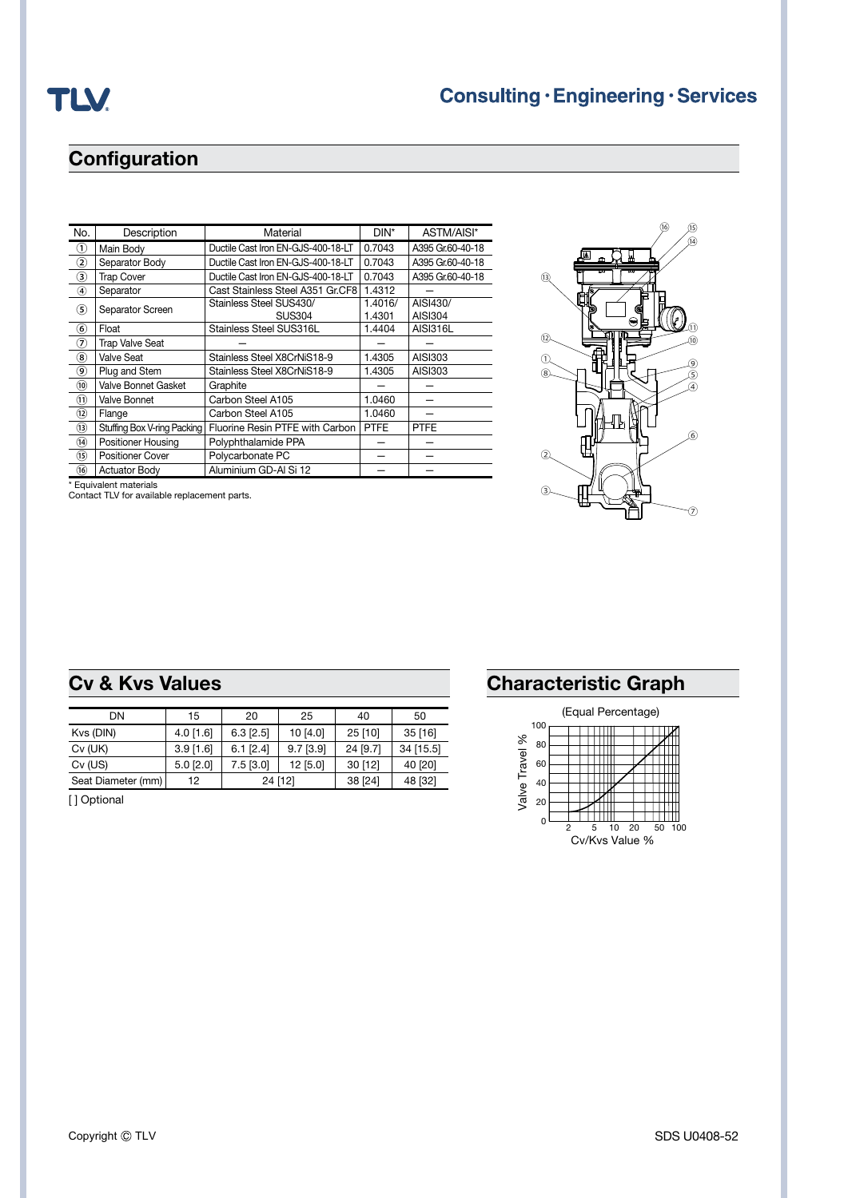# **Configuration**

| No.                      | Description                 | Material                           | DIN*        | ASTM/AISI*       |
|--------------------------|-----------------------------|------------------------------------|-------------|------------------|
| $\circled{1}$            | Main Body                   | Ductile Cast Iron EN-GJS-400-18-LT | 0.7043      | A395 Gr.60-40-18 |
| $^\mathrm{(2)}$          | Separator Body              | Ductile Cast Iron EN-GJS-400-18-LT | 0.7043      | A395 Gr.60-40-18 |
| ③                        | <b>Trap Cover</b>           | Ductile Cast Iron EN-GJS-400-18-LT | 0.7043      | A395 Gr.60-40-18 |
| ④                        | Separator                   | Cast Stainless Steel A351 Gr.CF8   | 1.4312      |                  |
| $\circleds$              | Separator Screen            | Stainless Steel SUS430/            | 1.4016/     | AISI430/         |
|                          |                             | <b>SUS304</b>                      | 1.4301      | AISI304          |
| $\circledast$            | Float                       | Stainless Steel SUS316L            | 1.4404      | <b>AISI316L</b>  |
| ೧                        | <b>Trap Valve Seat</b>      |                                    |             |                  |
| $\circledast$            | Valve Seat                  | Stainless Steel X8CrNiS18-9        | 1.4305      | AISI303          |
| ◉                        | Plug and Stem               | Stainless Steel X8CrNiS18-9        | 1.4305      | AISI303          |
| $\circledcirc$           | Valve Bonnet Gasket         | Graphite                           |             |                  |
| $\textcircled{\tiny{1}}$ | Valve Bonnet                | Carbon Steel A105                  | 1.0460      |                  |
| $\circledR$              | Flange                      | Carbon Steel A105                  | 1.0460      |                  |
| $\circledR$              | Stuffing Box V-ring Packing | Fluorine Resin PTFE with Carbon    | <b>PTFE</b> | <b>PTFE</b>      |
| $\circled{1}$            | Positioner Housing          | Polyphthalamide PPA                |             |                  |
| (15)                     | <b>Positioner Cover</b>     | Polycarbonate PC                   |             |                  |
| $\overline{16}$          | <b>Actuator Body</b>        | Aluminium GD-AI Si 12              |             |                  |
|                          |                             |                                    |             |                  |

\* Equivalent materials Contact TLV for available replacement parts.



|  |  | <b>Cv &amp; Kvs Values</b> |  |  |
|--|--|----------------------------|--|--|
|--|--|----------------------------|--|--|

| DN                 | 15              | 20              | 25          | 40        | 50        |
|--------------------|-----------------|-----------------|-------------|-----------|-----------|
| Kvs (DIN)          | $4.0$ [1.6]     | $6.3$ [ $2.5$ ] | 10 [4.0]    | $25$ [10] | $35$ [16] |
| $Cv$ (UK)          | $3.9$ [1.6]     | $6.1$ [ $2.4$ ] | $9.7$ [3.9] | 24 [9.7]  | 34 [15.5] |
| $Cv$ (US)          | $5.0$ [ $2.0$ ] | $7.5$ [3.0]     | 12 [5.0]    | 30[12]    | 40 [20]   |
| Seat Diameter (mm) | 12              |                 | 24 [12]     | 38 [24]   | 48 [32]   |

[ ] Optional

# **Characteristic Graph**

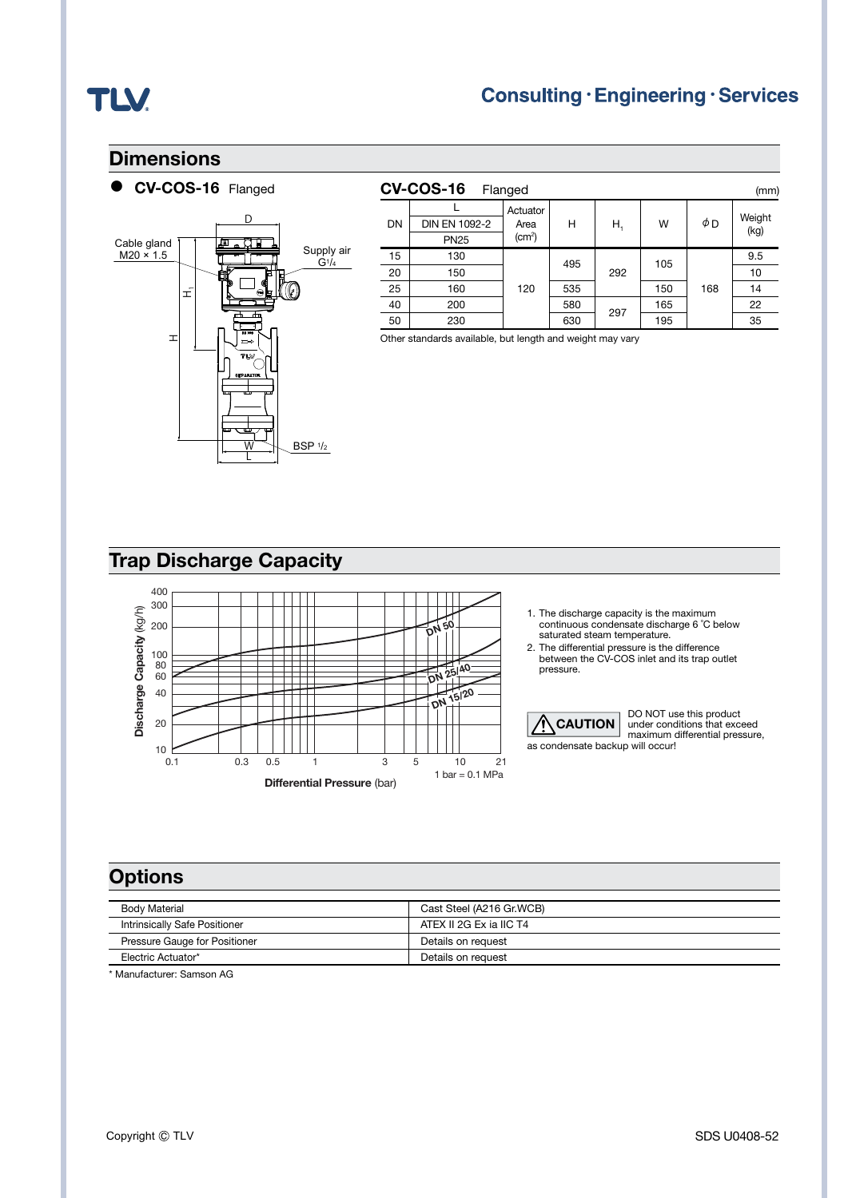# **TLV.**

### **Dimensions**

CV-COS-16 Flanged



|    | <b>CV-COS-16</b> | Flanged                                |     |     |     |     | (mm)           |
|----|------------------|----------------------------------------|-----|-----|-----|-----|----------------|
| DN | DIN EN 1092-2    | Actuator<br>Area<br>(cm <sup>2</sup> ) | н   | Н,  | W   | φD  | Weight<br>(kg) |
|    | <b>PN25</b>      |                                        |     |     |     |     |                |
| 15 | 130              | 120                                    | 495 | 292 | 105 |     | 9.5            |
| 20 | 150              |                                        |     |     |     |     | 10             |
| 25 | 160              |                                        | 535 |     | 150 | 168 | 14             |
| 40 | 200              |                                        | 580 | 297 | 165 |     | 22             |
| 50 | 230              |                                        | 630 |     | 195 |     | 35             |

Other standards available, but length and weight may vary

# Trap Discharge Capacity



- 1. The discharge capacity is the maximum continuous condensate discharge 6 ˚C below saturated steam temperature.
- 
- 2. The differential pressure is the difference between the CV-COS inlet and its trap outlet pressure.



DO NOT use this product under conditions that exceed maximum differential pressure,

## **Options**

| <b>Body Material</b>          | Cast Steel (A216 Gr.WCB) |
|-------------------------------|--------------------------|
| Intrinsically Safe Positioner | ATEX II 2G Ex ia IIC T4  |
| Pressure Gauge for Positioner | Details on request       |
| Electric Actuator*            | Details on request       |

\* Manufacturer: Samson AG